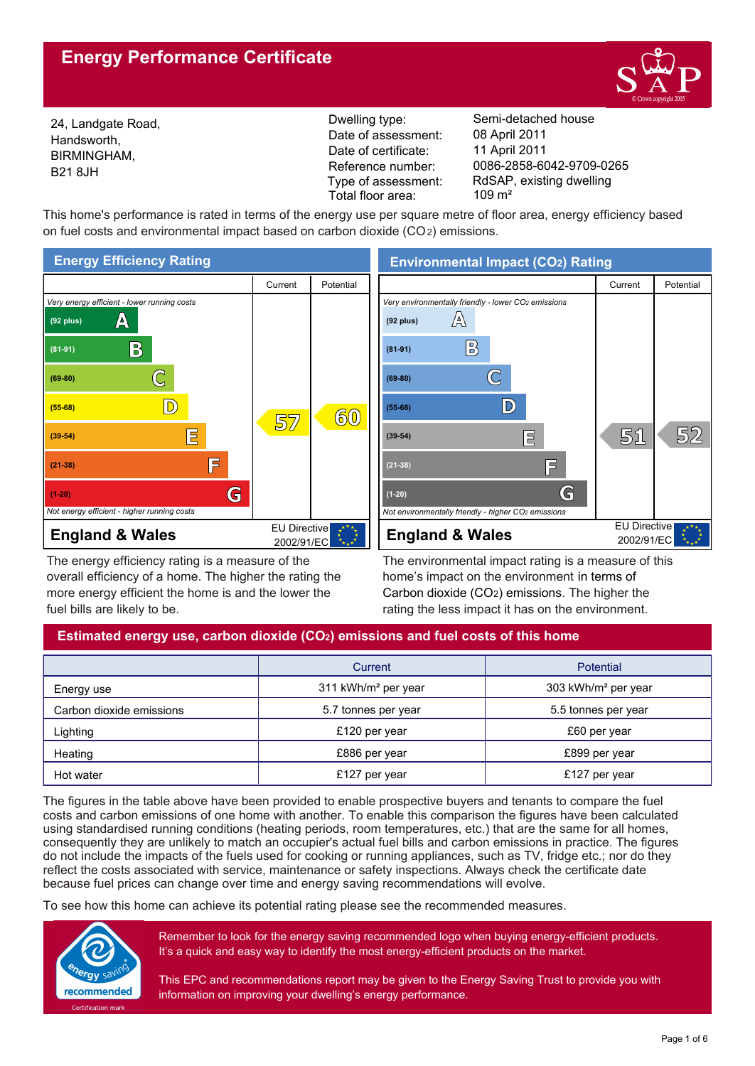# **Energy Performance Certificate**



24, Landgate Road, Handsworth, BIRMINGHAM, B21 8JH

Reference number: Date of certificate: Date of assessment: Type of assessment: Total floor area: 109 m<sup>2</sup>

Dwelling type: Semi-detached house 0086-2858-6042-9709-0265 11 April 2011 08 April 2011 RdSAP, existing dwelling

This home's performance is rated in terms of the energy use per square metre of floor area, energy efficiency based on fuel costs and environmental impact based on carbon dioxide (CO2) emissions.



The energy efficiency rating is a measure of the overall efficiency of a home. The higher the rating the more energy efficient the home is and the lower the fuel bills are likely to be.

**Environmental Impact (CO2) Rating**



The environmental impact rating is a measure of this home's impact on the environment in terms of Carbon dioxide (CO2) emissions. The higher the rating the less impact it has on the environment.

# **Estimated energy use, carbon dioxide (CO2) emissions and fuel costs of this home**

|                          | Current                         | <b>Potential</b>                |
|--------------------------|---------------------------------|---------------------------------|
| Energy use               | 311 kWh/m <sup>2</sup> per year | 303 kWh/m <sup>2</sup> per year |
| Carbon dioxide emissions | 5.7 tonnes per year             | 5.5 tonnes per year             |
| Lighting                 | £120 per year                   | £60 per year                    |
| Heating                  | £886 per year                   | £899 per year                   |
| Hot water                | £127 per year                   | £127 per year                   |

The figures in the table above have been provided to enable prospective buyers and tenants to compare the fuel costs and carbon emissions of one home with another. To enable this comparison the figures have been calculated using standardised running conditions (heating periods, room temperatures, etc.) that are the same for all homes, consequently they are unlikely to match an occupier's actual fuel bills and carbon emissions in practice. The figures do not include the impacts of the fuels used for cooking or running appliances, such as TV, fridge etc.; nor do they reflect the costs associated with service, maintenance or safety inspections. Always check the certificate date because fuel prices can change over time and energy saving recommendations will evolve.

To see how this home can achieve its potential rating please see the recommended measures.



Remember to look for the energy saving recommended logo when buying energy-efficient products. It's a quick and easy way to identify the most energy-efficient products on the market.

This EPC and recommendations report may be given to the Energy Saving Trust to provide you with information on improving your dwelling's energy performance.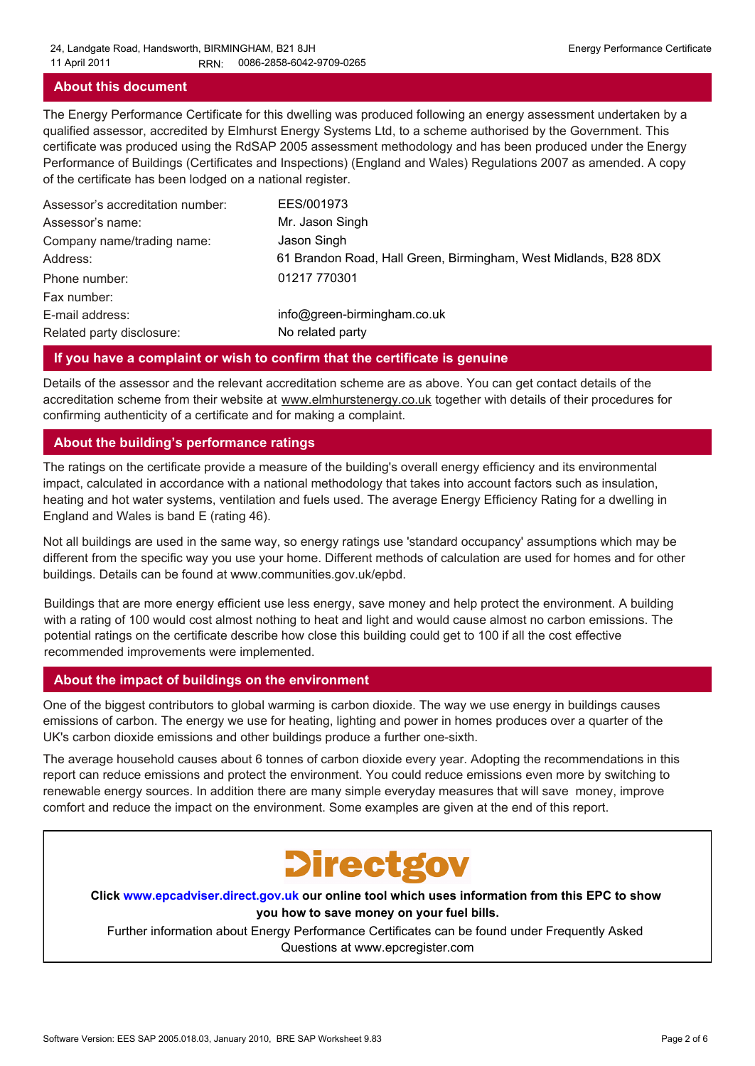# **About this document**

The Energy Performance Certificate for this dwelling was produced following an energy assessment undertaken by a qualified assessor, accredited by Elmhurst Energy Systems Ltd, to a scheme authorised by the Government. This certificate was produced using the RdSAP 2005 assessment methodology and has been produced under the Energy Performance of Buildings (Certificates and Inspections) (England and Wales) Regulations 2007 as amended. A copy of the certificate has been lodged on a national register.

| Assessor's accreditation number: | EES/001973                                                      |
|----------------------------------|-----------------------------------------------------------------|
| Assessor's name:                 | Mr. Jason Singh                                                 |
| Company name/trading name:       | Jason Singh                                                     |
| Address:                         | 61 Brandon Road, Hall Green, Birmingham, West Midlands, B28 8DX |
| Phone number:                    | 01217 770301                                                    |
| Fax number:                      |                                                                 |
| E-mail address:                  | info@green-birmingham.co.uk                                     |
| Related party disclosure:        | No related party                                                |
|                                  |                                                                 |

### **If you have a complaint or wish to confirm that the certificate is genuine**

Details of the assessor and the relevant accreditation scheme are as above. You can get contact details of the accreditation scheme from their website at www.elmhurstenergy.co.uk together with details of their procedures for confirming authenticity of a certificate and for making a complaint.

# **About the building's performance ratings**

The ratings on the certificate provide a measure of the building's overall energy efficiency and its environmental impact, calculated in accordance with a national methodology that takes into account factors such as insulation, heating and hot water systems, ventilation and fuels used. The average Energy Efficiency Rating for a dwelling in England and Wales is band E (rating 46).

Not all buildings are used in the same way, so energy ratings use 'standard occupancy' assumptions which may be different from the specific way you use your home. Different methods of calculation are used for homes and for other buildings. Details can be found at www.communities.gov.uk/epbd.

Buildings that are more energy efficient use less energy, save money and help protect the environment. A building with a rating of 100 would cost almost nothing to heat and light and would cause almost no carbon emissions. The potential ratings on the certificate describe how close this building could get to 100 if all the cost effective recommended improvements were implemented.

# **About the impact of buildings on the environment**

One of the biggest contributors to global warming is carbon dioxide. The way we use energy in buildings causes emissions of carbon. The energy we use for heating, lighting and power in homes produces over a quarter of the UK's carbon dioxide emissions and other buildings produce a further one-sixth.

The average household causes about 6 tonnes of carbon dioxide every year. Adopting the recommendations in this report can reduce emissions and protect the environment. You could reduce emissions even more by switching to renewable energy sources. In addition there are many simple everyday measures that will save money, improve comfort and reduce the impact on the environment. Some examples are given at the end of this report.

# **Directgov**

**Click www.epcadviser.direct.gov.uk our online tool which uses information from this EPC to show you how to save money on your fuel bills.**

Further information about Energy Performance Certificates can be found under Frequently Asked [Questions at www.epcregister.com](http://www.epcadviser.direct.gov.uk)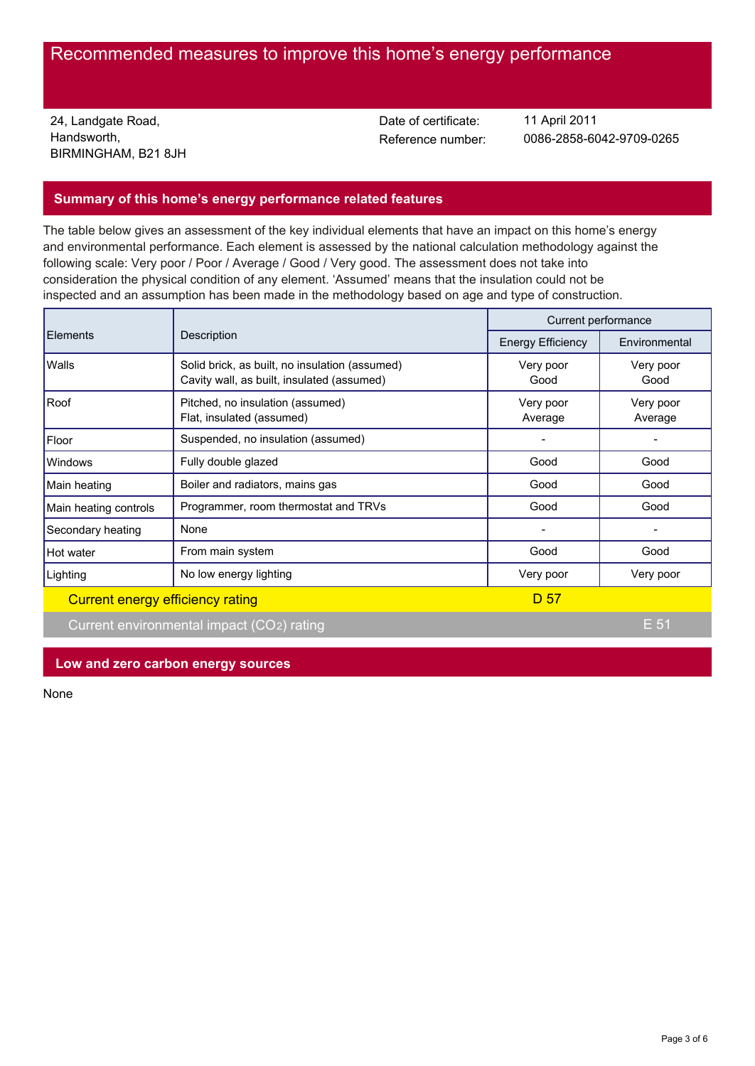# Recommended measures to improve this home's energy performance

24, Landgate Road, Handsworth, BIRMINGHAM, B21 8JH Date of certificate:

Reference number: 0086-2858-6042-9709-0265 11 April 2011

# **Summary of this home's energy performance related features**

The table below gives an assessment of the key individual elements that have an impact on this home's energy and environmental performance. Each element is assessed by the national calculation methodology against the following scale: Very poor / Poor / Average / Good / Very good. The assessment does not take into consideration the physical condition of any element. 'Assumed' means that the insulation could not be inspected and an assumption has been made in the methodology based on age and type of construction.

|                                         | Description                                                                                  |                          | Current performance  |  |
|-----------------------------------------|----------------------------------------------------------------------------------------------|--------------------------|----------------------|--|
| <b>Elements</b>                         |                                                                                              | <b>Energy Efficiency</b> | Environmental        |  |
| Walls                                   | Solid brick, as built, no insulation (assumed)<br>Cavity wall, as built, insulated (assumed) | Very poor<br>Good        | Very poor<br>Good    |  |
| Roof                                    | Pitched, no insulation (assumed)<br>Flat, insulated (assumed)                                | Very poor<br>Average     | Very poor<br>Average |  |
| Floor                                   | Suspended, no insulation (assumed)                                                           |                          |                      |  |
| Windows                                 | Fully double glazed                                                                          | Good                     | Good                 |  |
| Main heating                            | Boiler and radiators, mains gas                                                              | Good                     | Good                 |  |
| Main heating controls                   | Programmer, room thermostat and TRVs                                                         | Good                     | Good                 |  |
| Secondary heating                       | None                                                                                         |                          |                      |  |
| Hot water                               | From main system                                                                             | Good                     | Good                 |  |
| Lighting                                | No low energy lighting                                                                       | Very poor                | Very poor            |  |
| <b>Current energy efficiency rating</b> |                                                                                              | D 57                     |                      |  |

Current environmental impact (CO<sub>2</sub>) rating E 51

#### **Low and zero carbon energy sources**

None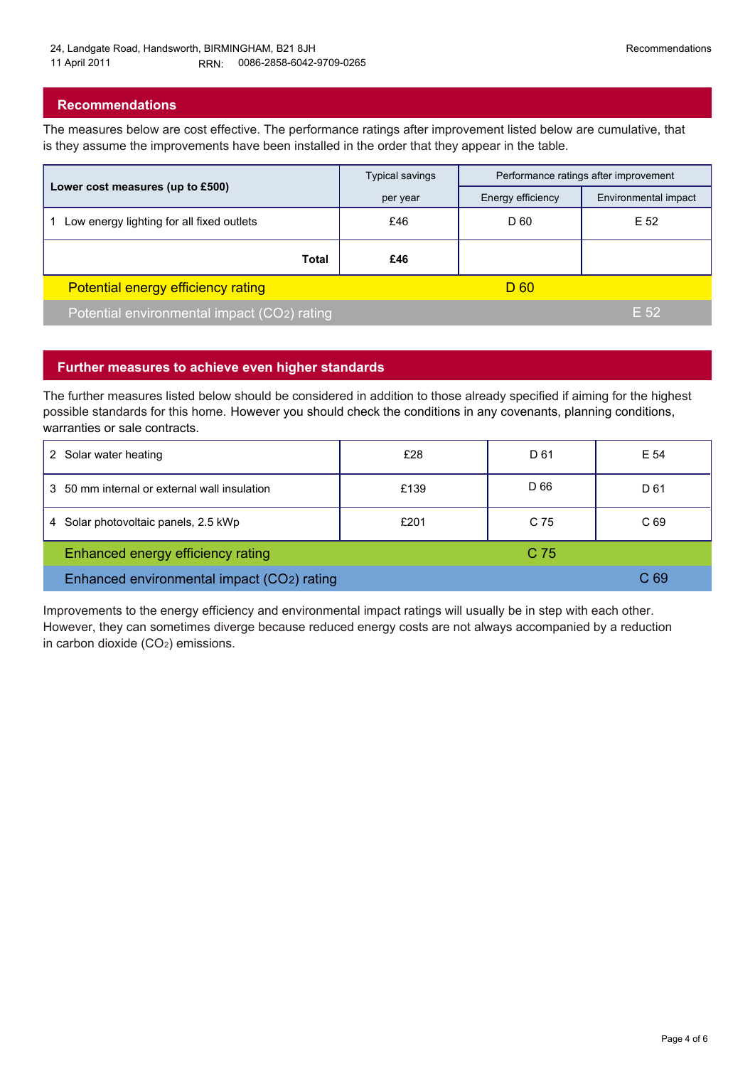# **Recommendations**

The measures below are cost effective. The performance ratings after improvement listed below are cumulative, that is they assume the improvements have been installed in the order that they appear in the table.

|                                             | Typical savings | Performance ratings after improvement |                      |
|---------------------------------------------|-----------------|---------------------------------------|----------------------|
| Lower cost measures (up to £500)            | per year        | Energy efficiency                     | Environmental impact |
| Low energy lighting for all fixed outlets   | £46             | D 60                                  | E 52                 |
| <b>Total</b>                                | £46             |                                       |                      |
| <b>Potential energy efficiency rating</b>   |                 | D <sub>60</sub>                       |                      |
| Potential environmental impact (CO2) rating |                 |                                       | E 52                 |

### **Further measures to achieve even higher standards**

The further measures listed below should be considered in addition to those already specified if aiming for the highest possible standards for this home. However you should check the conditions in any covenants, planning conditions, warranties or sale contracts.

| 2 Solar water heating                        | £28  | D 61 | E 54            |
|----------------------------------------------|------|------|-----------------|
| 3 50 mm internal or external wall insulation | £139 | D 66 | D 61            |
| 4 Solar photovoltaic panels, 2.5 kWp         | £201 | C 75 | C <sub>69</sub> |
| Enhanced energy efficiency rating            |      | C 75 |                 |
| Enhanced environmental impact (CO2) rating   |      |      | C <sub>69</sub> |

Improvements to the energy efficiency and environmental impact ratings will usually be in step with each other. However, they can sometimes diverge because reduced energy costs are not always accompanied by a reduction in carbon dioxide (CO<sub>2</sub>) emissions.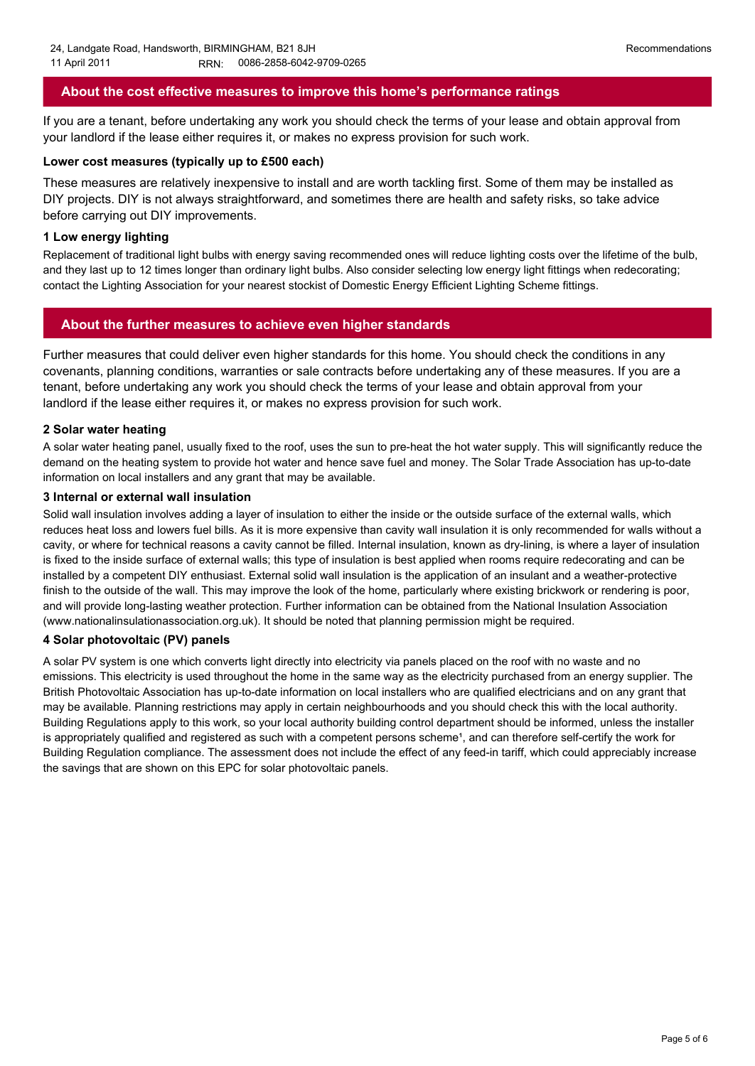# **About the cost effective measures to improve this home's performance ratings**

If you are a tenant, before undertaking any work you should check the terms of your lease and obtain approval from your landlord if the lease either requires it, or makes no express provision for such work.

#### **Lower cost measures (typically up to £500 each)**

These measures are relatively inexpensive to install and are worth tackling first. Some of them may be installed as DIY projects. DIY is not always straightforward, and sometimes there are health and safety risks, so take advice before carrying out DIY improvements.

#### **1 Low energy lighting**

Replacement of traditional light bulbs with energy saving recommended ones will reduce lighting costs over the lifetime of the bulb, and they last up to 12 times longer than ordinary light bulbs. Also consider selecting low energy light fittings when redecorating; contact the Lighting Association for your nearest stockist of Domestic Energy Efficient Lighting Scheme fittings.

# **About the further measures to achieve even higher standards**

Further measures that could deliver even higher standards for this home. You should check the conditions in any covenants, planning conditions, warranties or sale contracts before undertaking any of these measures. If you are a tenant, before undertaking any work you should check the terms of your lease and obtain approval from your landlord if the lease either requires it, or makes no express provision for such work.

#### **2 Solar water heating**

A solar water heating panel, usually fixed to the roof, uses the sun to pre-heat the hot water supply. This will significantly reduce the demand on the heating system to provide hot water and hence save fuel and money. The Solar Trade Association has up-to-date information on local installers and any grant that may be available.

#### **3 Internal or external wall insulation**

Solid wall insulation involves adding a layer of insulation to either the inside or the outside surface of the external walls, which reduces heat loss and lowers fuel bills. As it is more expensive than cavity wall insulation it is only recommended for walls without a cavity, or where for technical reasons a cavity cannot be filled. Internal insulation, known as dry-lining, is where a layer of insulation is fixed to the inside surface of external walls; this type of insulation is best applied when rooms require redecorating and can be installed by a competent DIY enthusiast. External solid wall insulation is the application of an insulant and a weather-protective finish to the outside of the wall. This may improve the look of the home, particularly where existing brickwork or rendering is poor, and will provide long-lasting weather protection. Further information can be obtained from the National Insulation Association (www.nationalinsulationassociation.org.uk). It should be noted that planning permission might be required.

### **4 Solar photovoltaic (PV) panels**

A solar PV system is one which converts light directly into electricity via panels placed on the roof with no waste and no emissions. This electricity is used throughout the home in the same way as the electricity purchased from an energy supplier. The British Photovoltaic Association has up-to-date information on local installers who are qualified electricians and on any grant that may be available. Planning restrictions may apply in certain neighbourhoods and you should check this with the local authority. Building Regulations apply to this work, so your local authority building control department should be informed, unless the installer is appropriately qualified and registered as such with a competent persons scheme<sup>1</sup>, and can therefore self-certify the work for Building Regulation compliance. The assessment does not include the effect of any feed-in tariff, which could appreciably increase the savings that are shown on this EPC for solar photovoltaic panels.